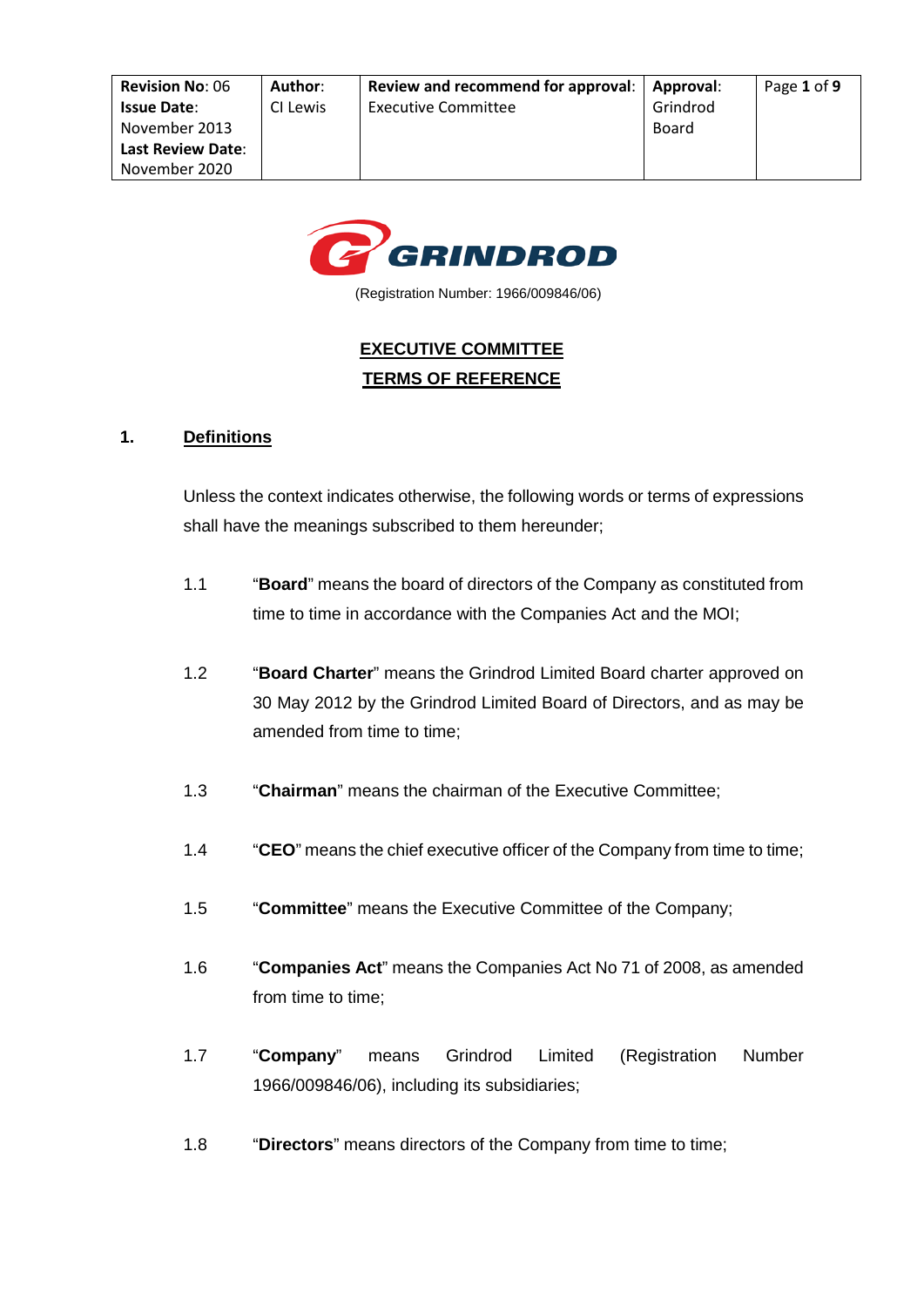

(Registration Number: 1966/009846/06)

# **EXECUTIVE COMMITTEE TERMS OF REFERENCE**

## **1. Definitions**

Unless the context indicates otherwise, the following words or terms of expressions shall have the meanings subscribed to them hereunder;

- 1.1 "**Board**" means the board of directors of the Company as constituted from time to time in accordance with the Companies Act and the MOI;
- 1.2 "**Board Charter**" means the Grindrod Limited Board charter approved on 30 May 2012 by the Grindrod Limited Board of Directors, and as may be amended from time to time;
- 1.3 "**Chairman**" means the chairman of the Executive Committee;
- 1.4 "**CEO**" means the chief executive officer of the Company from time to time;
- 1.5 "**Committee**" means the Executive Committee of the Company;
- 1.6 "**Companies Act**" means the Companies Act No 71 of 2008, as amended from time to time;
- 1.7 "**Company**" means Grindrod Limited (Registration Number 1966/009846/06), including its subsidiaries;
- 1.8 "**Directors**" means directors of the Company from time to time;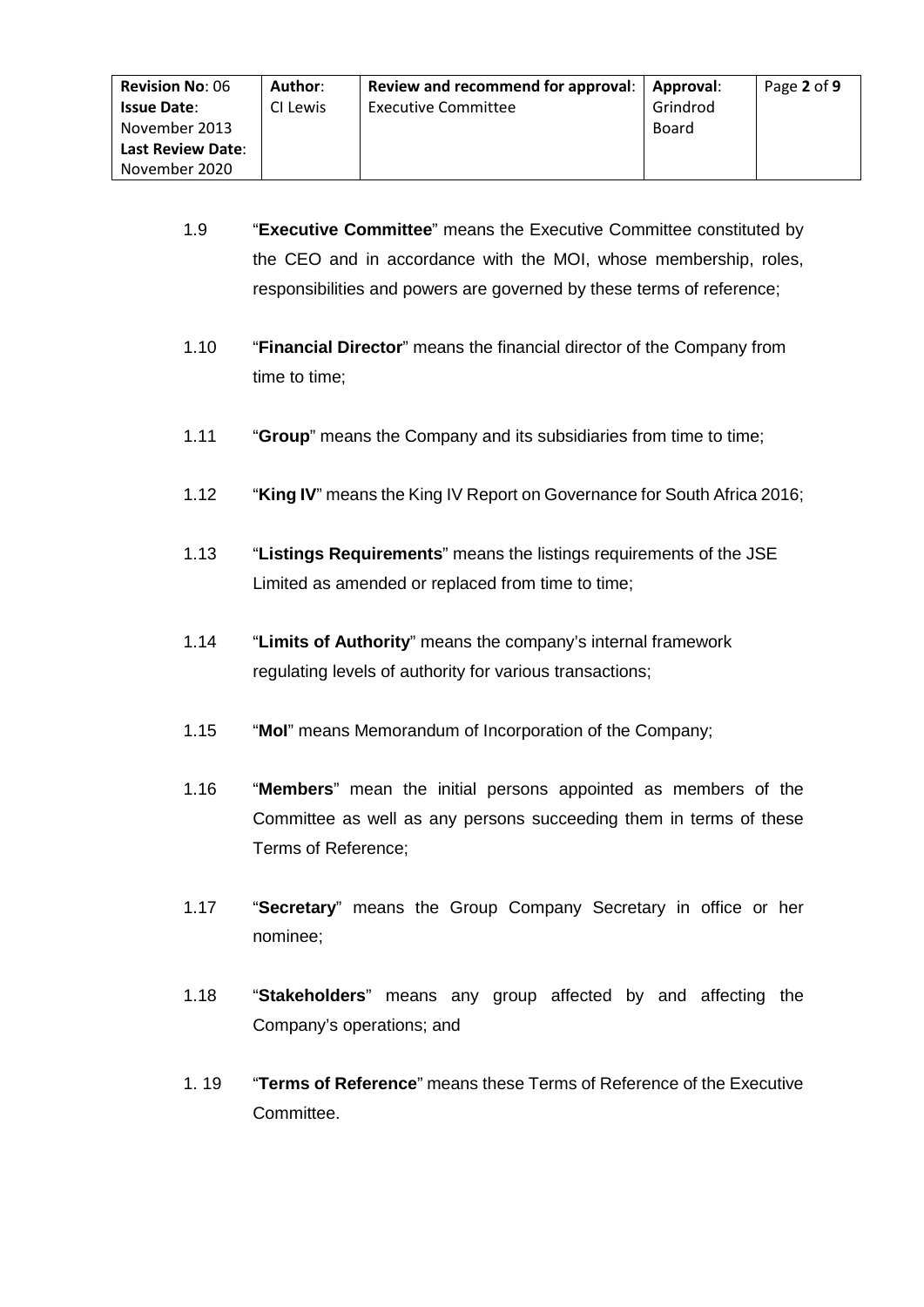- 1.9 "**Executive Committee**" means the Executive Committee constituted by the CEO and in accordance with the MOI, whose membership, roles, responsibilities and powers are governed by these terms of reference;
- 1.10 "**Financial Director**" means the financial director of the Company from time to time;
- 1.11 "**Group**" means the Company and its subsidiaries from time to time;
- 1.12 "**King IV**" means the King IV Report on Governance for South Africa 2016;
- 1.13 "**Listings Requirements**" means the listings requirements of the JSE Limited as amended or replaced from time to time;
- 1.14 "**Limits of Authority**" means the company's internal framework regulating levels of authority for various transactions;
- 1.15 "**MoI**" means Memorandum of Incorporation of the Company;
- 1.16 "**Members**" mean the initial persons appointed as members of the Committee as well as any persons succeeding them in terms of these Terms of Reference;
- 1.17 "**Secretary**" means the Group Company Secretary in office or her nominee;
- 1.18 "**Stakeholders**" means any group affected by and affecting the Company's operations; and
- 1. 19 "**Terms of Reference**" means these Terms of Reference of the Executive Committee.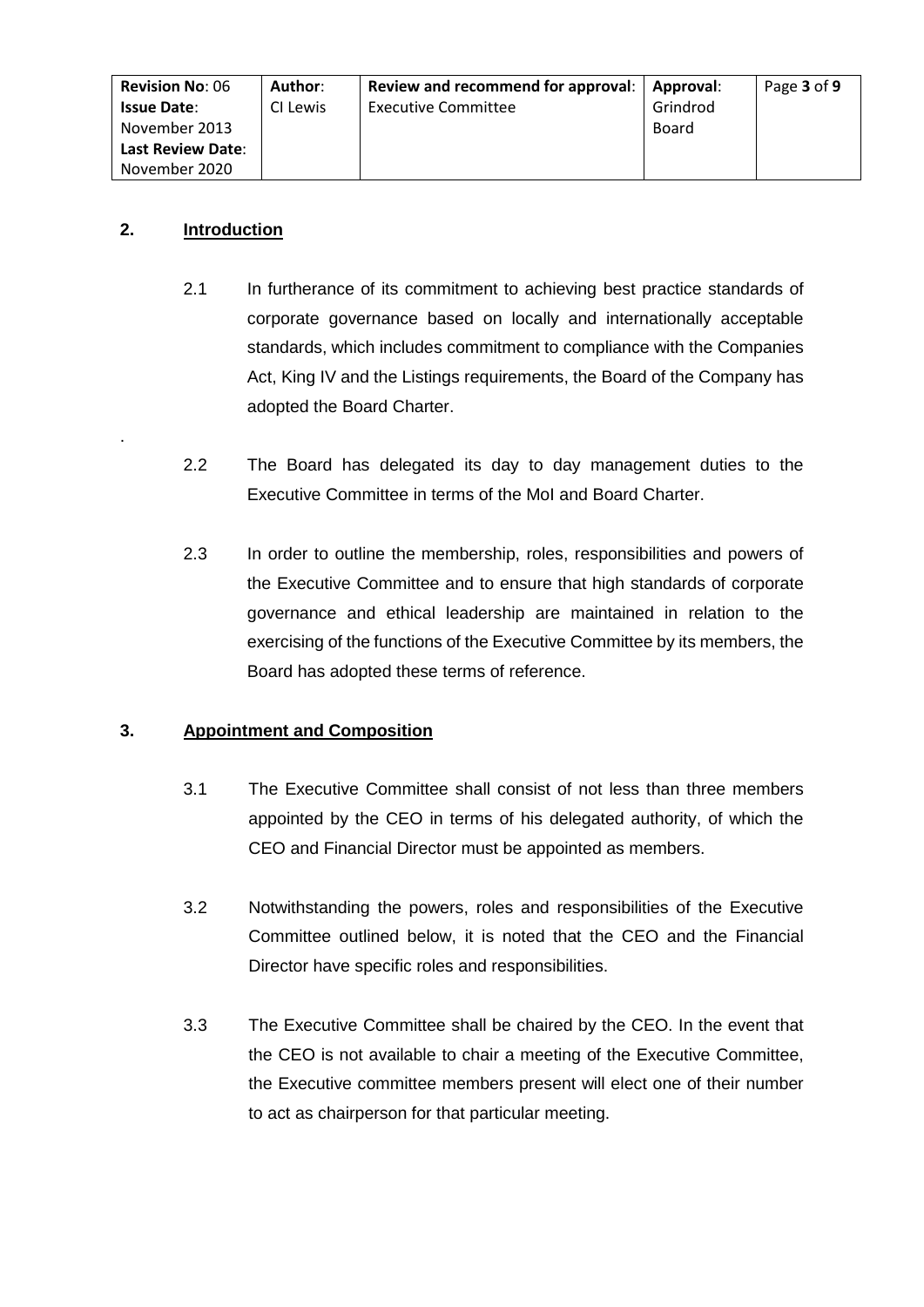| <b>Revision No: 06</b>   | Author:  | Review and recommend for approval:   Approval: |          | Page 3 of 9 |
|--------------------------|----------|------------------------------------------------|----------|-------------|
| <b>Issue Date:</b>       | CI Lewis | <b>Executive Committee</b>                     | Grindrod |             |
| November 2013            |          |                                                | Board    |             |
| <b>Last Review Date:</b> |          |                                                |          |             |
| November 2020            |          |                                                |          |             |

## **2. Introduction**

.

- 2.1 In furtherance of its commitment to achieving best practice standards of corporate governance based on locally and internationally acceptable standards, which includes commitment to compliance with the Companies Act, King IV and the Listings requirements, the Board of the Company has adopted the Board Charter.
- 2.2 The Board has delegated its day to day management duties to the Executive Committee in terms of the MoI and Board Charter.
- 2.3 In order to outline the membership, roles, responsibilities and powers of the Executive Committee and to ensure that high standards of corporate governance and ethical leadership are maintained in relation to the exercising of the functions of the Executive Committee by its members, the Board has adopted these terms of reference.

# **3. Appointment and Composition**

- 3.1 The Executive Committee shall consist of not less than three members appointed by the CEO in terms of his delegated authority, of which the CEO and Financial Director must be appointed as members.
- 3.2 Notwithstanding the powers, roles and responsibilities of the Executive Committee outlined below, it is noted that the CEO and the Financial Director have specific roles and responsibilities.
- 3.3 The Executive Committee shall be chaired by the CEO. In the event that the CEO is not available to chair a meeting of the Executive Committee, the Executive committee members present will elect one of their number to act as chairperson for that particular meeting.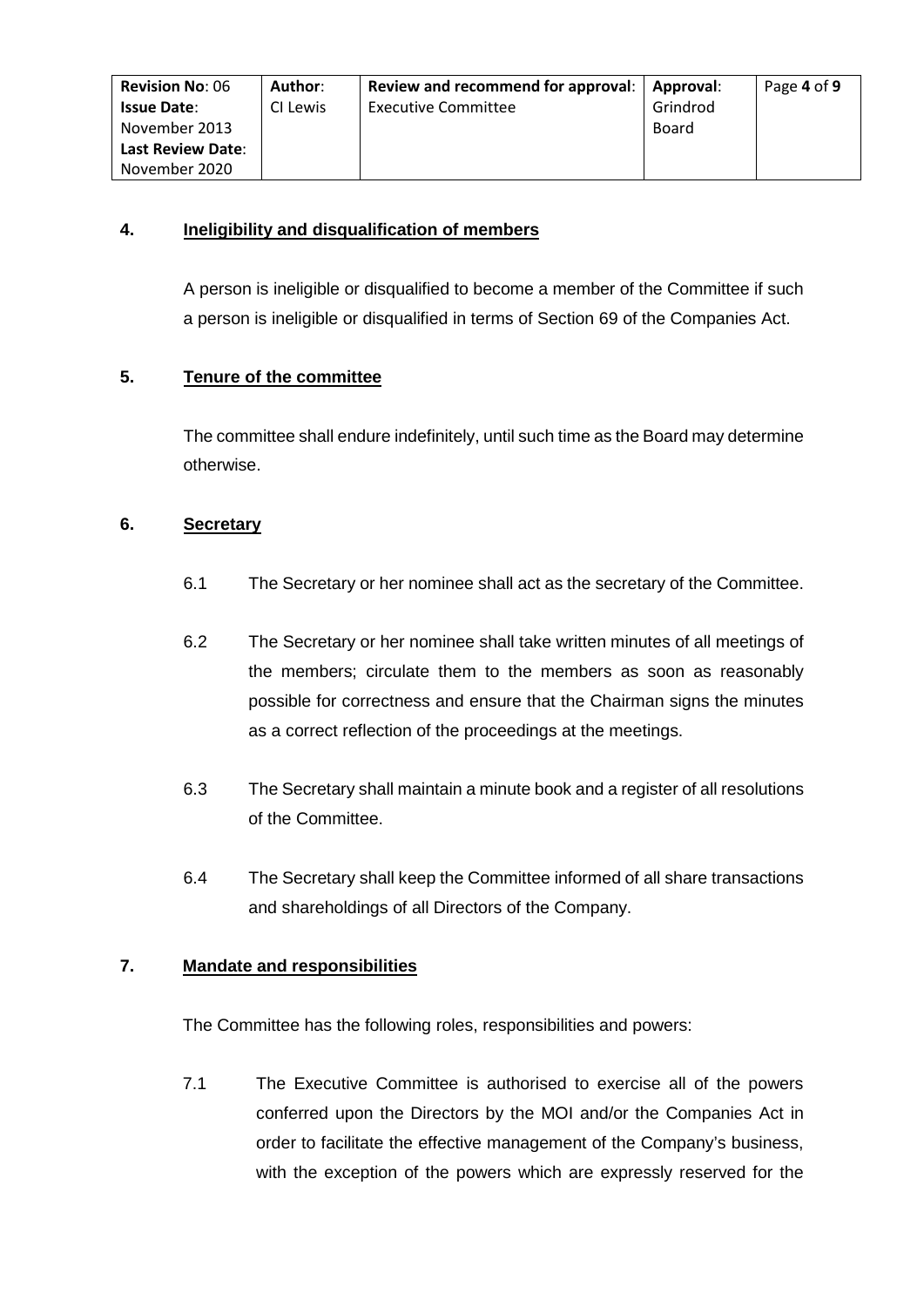| <b>Revision No: 06</b>   | Author:  | Review and recommend for approval: | Approval: | Page 4 of 9 |
|--------------------------|----------|------------------------------------|-----------|-------------|
| <b>Issue Date:</b>       | CI Lewis | <b>Executive Committee</b>         | Grindrod  |             |
| November 2013            |          |                                    | Board     |             |
| <b>Last Review Date:</b> |          |                                    |           |             |
| November 2020            |          |                                    |           |             |

## **4. Ineligibility and disqualification of members**

A person is ineligible or disqualified to become a member of the Committee if such a person is ineligible or disqualified in terms of Section 69 of the Companies Act.

# **5. Tenure of the committee**

The committee shall endure indefinitely, until such time as the Board may determine otherwise.

#### **6. Secretary**

- 6.1 The Secretary or her nominee shall act as the secretary of the Committee.
- 6.2 The Secretary or her nominee shall take written minutes of all meetings of the members; circulate them to the members as soon as reasonably possible for correctness and ensure that the Chairman signs the minutes as a correct reflection of the proceedings at the meetings.
- 6.3 The Secretary shall maintain a minute book and a register of all resolutions of the Committee.
- 6.4 The Secretary shall keep the Committee informed of all share transactions and shareholdings of all Directors of the Company.

#### **7. Mandate and responsibilities**

The Committee has the following roles, responsibilities and powers:

7.1 The Executive Committee is authorised to exercise all of the powers conferred upon the Directors by the MOI and/or the Companies Act in order to facilitate the effective management of the Company's business, with the exception of the powers which are expressly reserved for the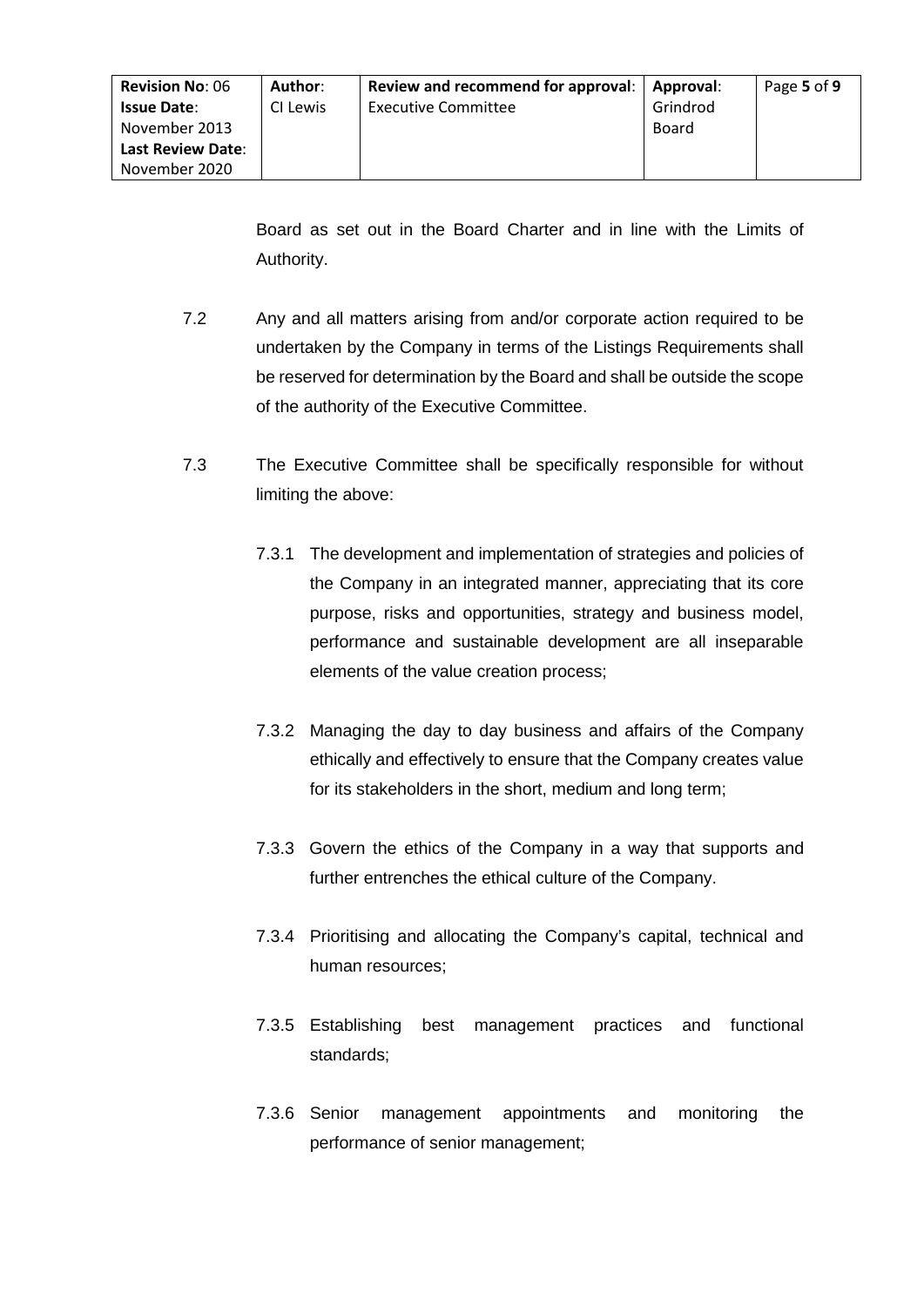Board as set out in the Board Charter and in line with the Limits of Authority.

- 7.2 Any and all matters arising from and/or corporate action required to be undertaken by the Company in terms of the Listings Requirements shall be reserved for determination by the Board and shall be outside the scope of the authority of the Executive Committee.
- 7.3 The Executive Committee shall be specifically responsible for without limiting the above:
	- 7.3.1 The development and implementation of strategies and policies of the Company in an integrated manner, appreciating that its core purpose, risks and opportunities, strategy and business model, performance and sustainable development are all inseparable elements of the value creation process;
	- 7.3.2 Managing the day to day business and affairs of the Company ethically and effectively to ensure that the Company creates value for its stakeholders in the short, medium and long term;
	- 7.3.3 Govern the ethics of the Company in a way that supports and further entrenches the ethical culture of the Company.
	- 7.3.4 Prioritising and allocating the Company's capital, technical and human resources;
	- 7.3.5 Establishing best management practices and functional standards;
	- 7.3.6 Senior management appointments and monitoring the performance of senior management;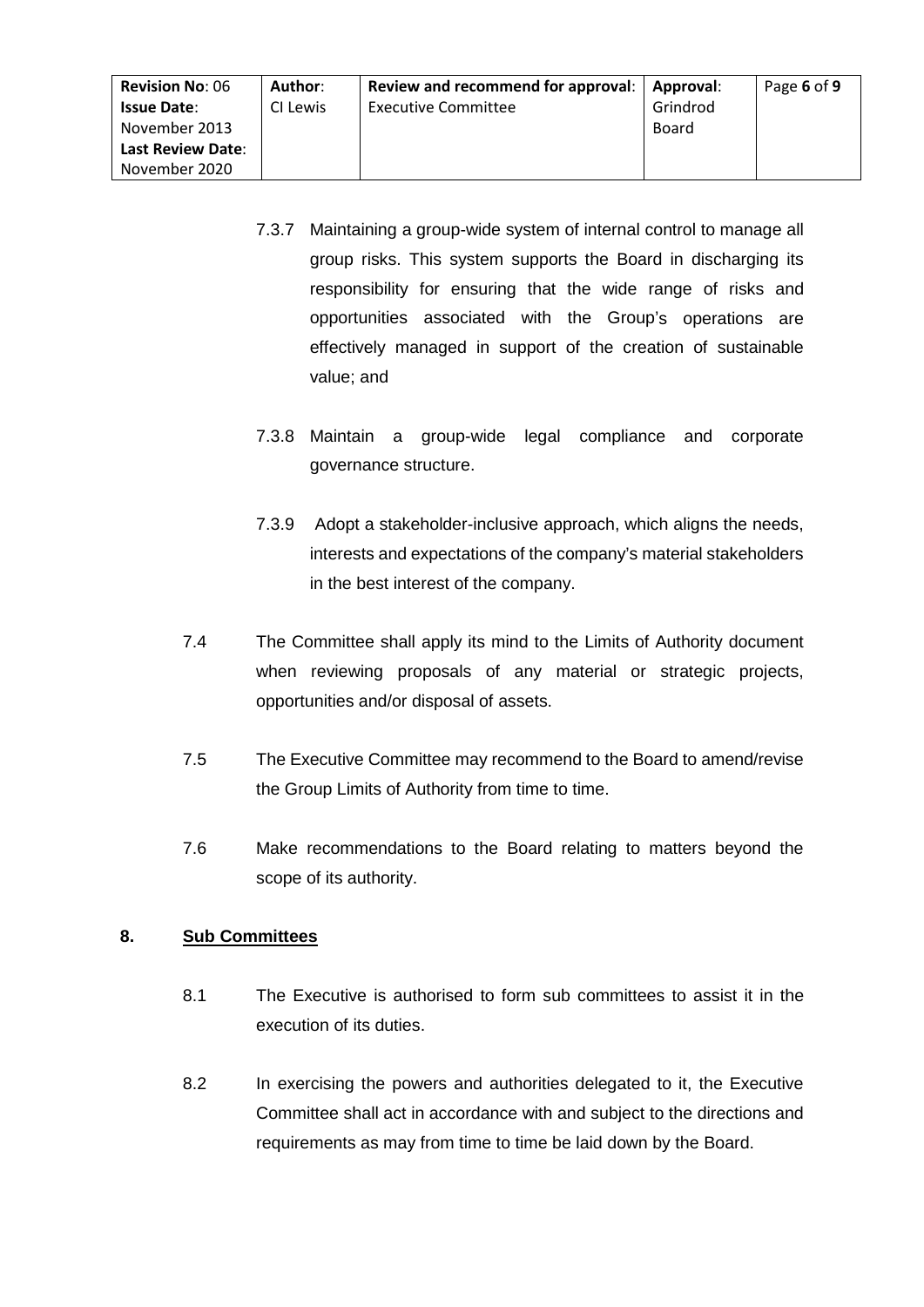| <b>Revision No: 06</b>   | Author:  | Review and recommend for approval: | Approval: | Page 6 of 9 |
|--------------------------|----------|------------------------------------|-----------|-------------|
| <b>Issue Date:</b>       | CI Lewis | <b>Executive Committee</b>         | Grindrod  |             |
| November 2013            |          |                                    | Board     |             |
| <b>Last Review Date:</b> |          |                                    |           |             |
| November 2020            |          |                                    |           |             |

- 7.3.7 Maintaining a group-wide system of internal control to manage all group risks. This system supports the Board in discharging its responsibility for ensuring that the wide range of risks and opportunities associated with the Group's operations are effectively managed in support of the creation of sustainable value; and
- 7.3.8 Maintain a group-wide legal compliance and corporate governance structure.
- 7.3.9 Adopt a stakeholder-inclusive approach, which aligns the needs, interests and expectations of the company's material stakeholders in the best interest of the company.
- 7.4 The Committee shall apply its mind to the Limits of Authority document when reviewing proposals of any material or strategic projects, opportunities and/or disposal of assets.
- 7.5 The Executive Committee may recommend to the Board to amend/revise the Group Limits of Authority from time to time.
- 7.6 Make recommendations to the Board relating to matters beyond the scope of its authority.

# **8. Sub Committees**

- 8.1 The Executive is authorised to form sub committees to assist it in the execution of its duties.
- 8.2 In exercising the powers and authorities delegated to it, the Executive Committee shall act in accordance with and subject to the directions and requirements as may from time to time be laid down by the Board.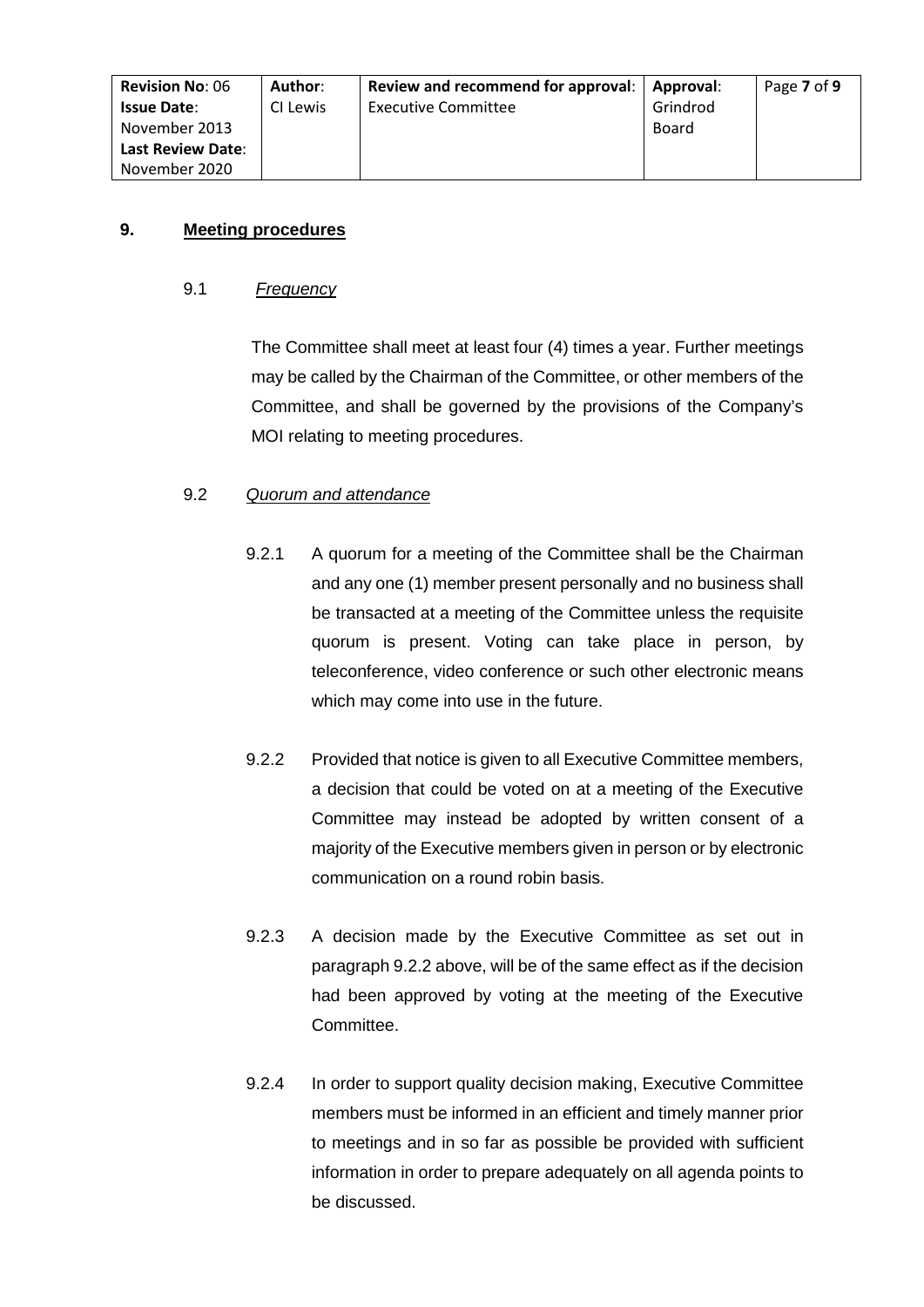| <b>Revision No: 06</b> | Author:  | Review and recommend for approval: | Approval: | Page 7 of 9 |
|------------------------|----------|------------------------------------|-----------|-------------|
| <b>Issue Date:</b>     | CI Lewis | <b>Executive Committee</b>         | Grindrod  |             |
| November 2013          |          |                                    | Board     |             |
| Last Review Date:      |          |                                    |           |             |
| November 2020          |          |                                    |           |             |

# **9. Meeting procedures**

# 9.1 *Frequency*

The Committee shall meet at least four (4) times a year. Further meetings may be called by the Chairman of the Committee, or other members of the Committee, and shall be governed by the provisions of the Company's MOI relating to meeting procedures.

# 9.2 *Quorum and attendance*

- 9.2.1 A quorum for a meeting of the Committee shall be the Chairman and any one (1) member present personally and no business shall be transacted at a meeting of the Committee unless the requisite quorum is present. Voting can take place in person, by teleconference, video conference or such other electronic means which may come into use in the future.
- 9.2.2 Provided that notice is given to all Executive Committee members, a decision that could be voted on at a meeting of the Executive Committee may instead be adopted by written consent of a majority of the Executive members given in person or by electronic communication on a round robin basis.
- 9.2.3 A decision made by the Executive Committee as set out in paragraph 9.2.2 above, will be of the same effect as if the decision had been approved by voting at the meeting of the Executive Committee.
- 9.2.4 In order to support quality decision making, Executive Committee members must be informed in an efficient and timely manner prior to meetings and in so far as possible be provided with sufficient information in order to prepare adequately on all agenda points to be discussed.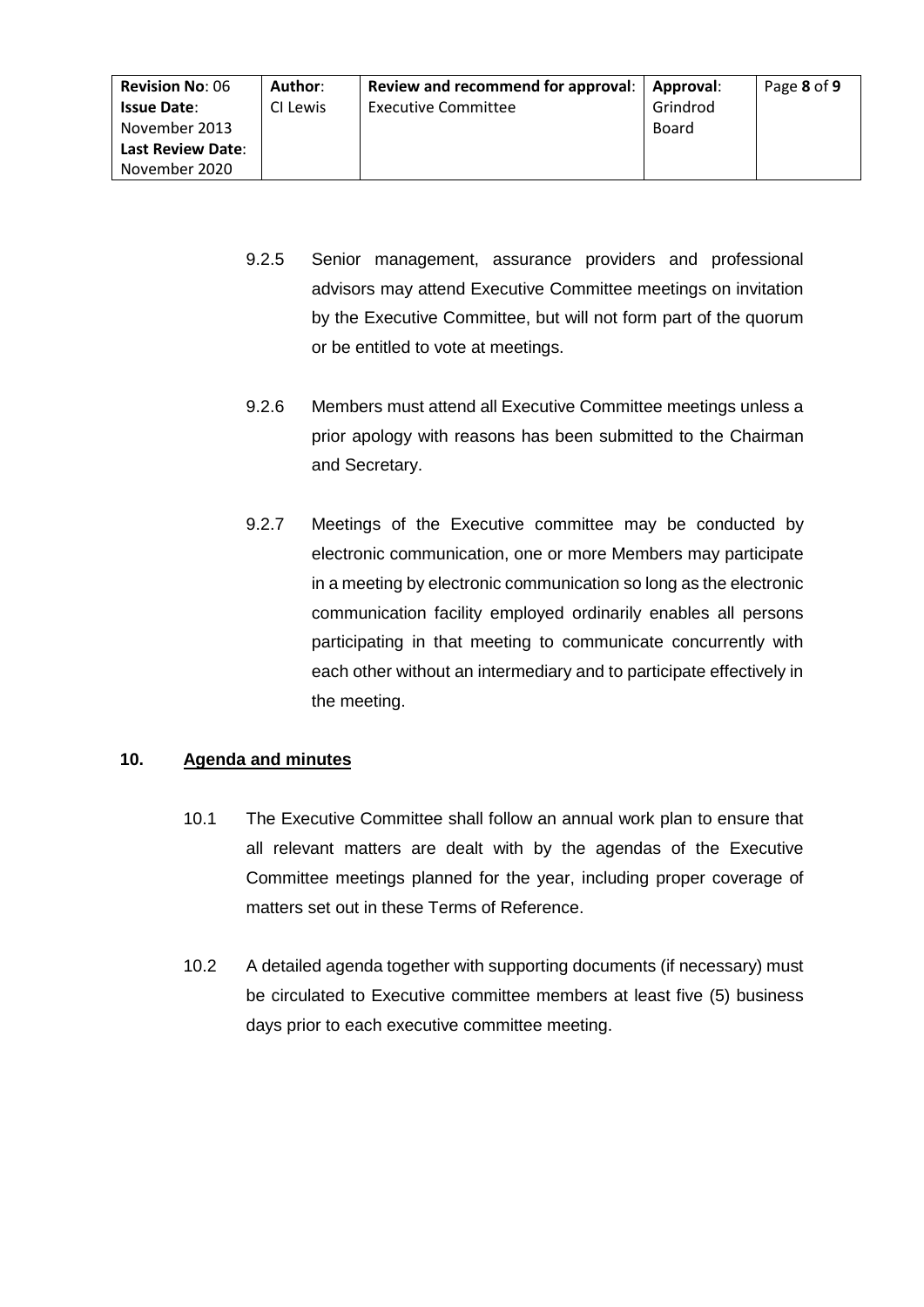| <b>Revision No: 06</b><br><b>Issue Date:</b> | Author:<br>CI Lewis | Review and recommend for approval:  <br><b>Executive Committee</b> | <b>Approval:</b><br>Grindrod | Page 8 of 9 |
|----------------------------------------------|---------------------|--------------------------------------------------------------------|------------------------------|-------------|
| November 2013                                |                     |                                                                    | Board                        |             |
| <b>Last Review Date:</b>                     |                     |                                                                    |                              |             |
| November 2020                                |                     |                                                                    |                              |             |

- 9.2.5 Senior management, assurance providers and professional advisors may attend Executive Committee meetings on invitation by the Executive Committee, but will not form part of the quorum or be entitled to vote at meetings.
- 9.2.6 Members must attend all Executive Committee meetings unless a prior apology with reasons has been submitted to the Chairman and Secretary.
- 9.2.7 Meetings of the Executive committee may be conducted by electronic communication, one or more Members may participate in a meeting by electronic communication so long as the electronic communication facility employed ordinarily enables all persons participating in that meeting to communicate concurrently with each other without an intermediary and to participate effectively in the meeting.

# **10. Agenda and minutes**

- 10.1 The Executive Committee shall follow an annual work plan to ensure that all relevant matters are dealt with by the agendas of the Executive Committee meetings planned for the year, including proper coverage of matters set out in these Terms of Reference.
- 10.2 A detailed agenda together with supporting documents (if necessary) must be circulated to Executive committee members at least five (5) business days prior to each executive committee meeting.